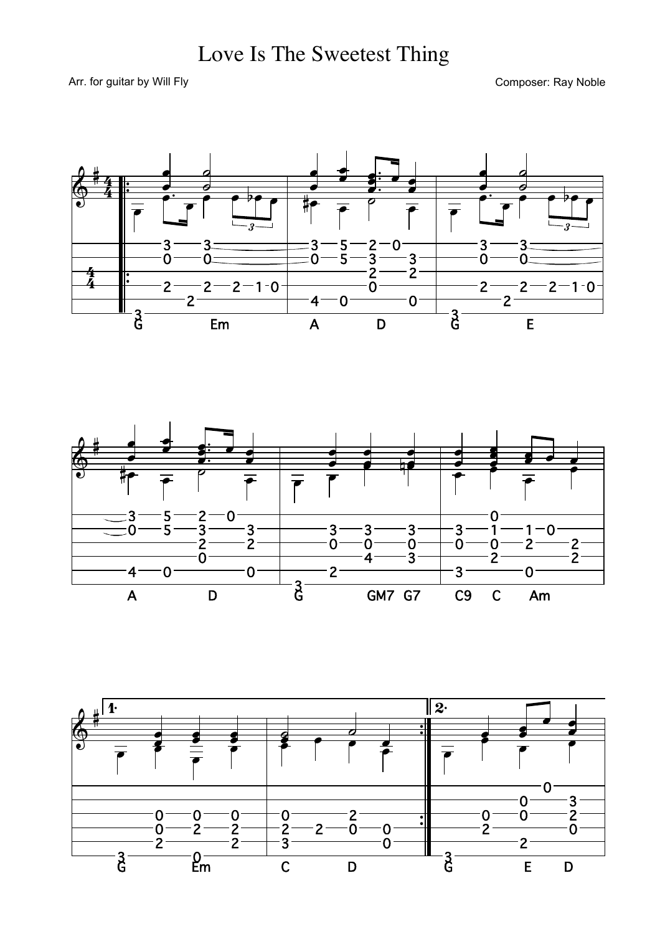## Love Is The Sweetest Thing

Arr. for guitar by Will Fly

Composer: Ray Noble





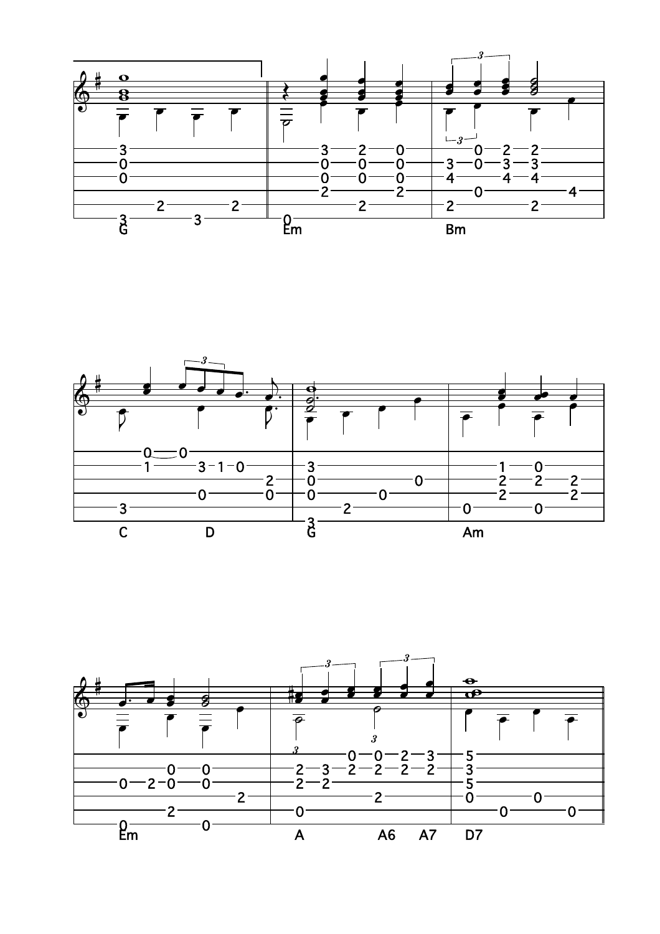